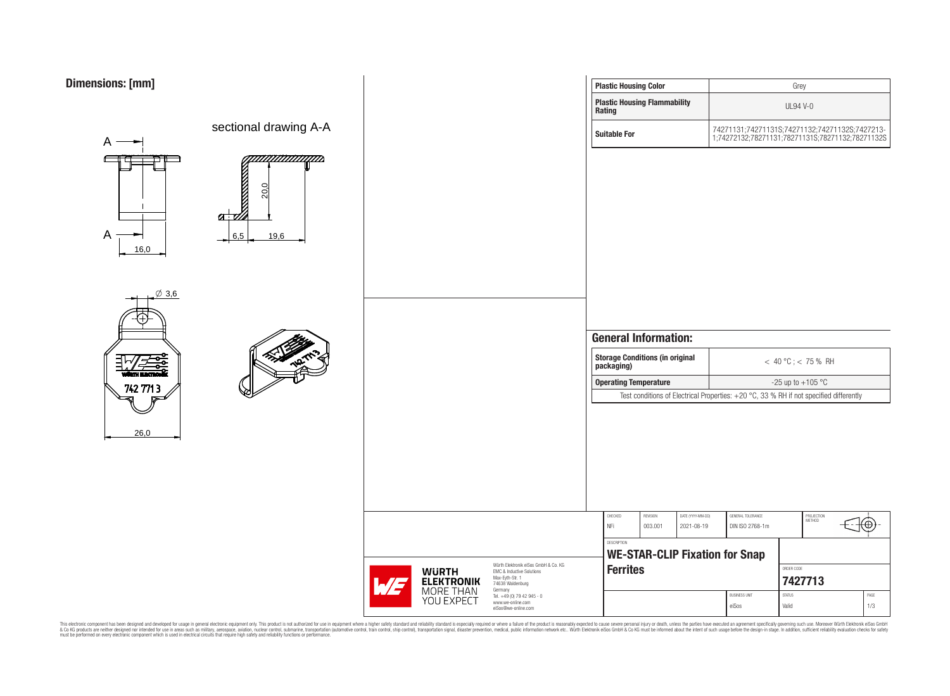

| sions: [mm]     |                                                                     |                                                        |  |                                                                                   |                                       | <b>Plastic Housing Color</b> |                                                                              |                                 |                                                                          | Grey                                                                                                           |                 |     |
|-----------------|---------------------------------------------------------------------|--------------------------------------------------------|--|-----------------------------------------------------------------------------------|---------------------------------------|------------------------------|------------------------------------------------------------------------------|---------------------------------|--------------------------------------------------------------------------|----------------------------------------------------------------------------------------------------------------|-----------------|-----|
|                 |                                                                     |                                                        |  |                                                                                   |                                       | Rating                       | <b>Plastic Housing Flammability</b>                                          |                                 |                                                                          | <b>UL94 V-0</b>                                                                                                |                 |     |
| A               | sectional drawing A-A                                               |                                                        |  |                                                                                   |                                       | <b>Suitable For</b>          |                                                                              |                                 |                                                                          | 74271131;74271131S;74271132;74271132S;7427213-<br>1;74272132;78271131;78271131S;78271132;78271132S             |                 |     |
| A<br>16,0       | WWWWWD<br><b>NAME OF BRIDE</b><br>20,0<br>$a\bar{w}$<br>6,5<br>19,6 |                                                        |  |                                                                                   |                                       |                              |                                                                              |                                 |                                                                          |                                                                                                                |                 |     |
| $\emptyset$ 3,6 |                                                                     |                                                        |  |                                                                                   |                                       |                              | <b>General Information:</b><br>Storage Conditions (in original<br>packaging) |                                 |                                                                          | $< 40 °C$ ; < 75 % RH                                                                                          |                 |     |
| 742 771 3       |                                                                     |                                                        |  |                                                                                   |                                       | <b>Operating Temperature</b> |                                                                              |                                 |                                                                          | -25 up to $+105$ °C                                                                                            |                 |     |
| 26,0            |                                                                     |                                                        |  |                                                                                   |                                       | CHECKED<br>NFi               | REVISION<br>003.001                                                          | DATE (YYYY-MM-DD)<br>2021-08-19 | GENERAL TOLERANCE<br>DIN ISO 2768-1m                                     | Test conditions of Electrical Properties: +20 °C, 33 % RH if not specified differently<br>PROJECTION<br>METHOD | ⊕               |     |
|                 |                                                                     |                                                        |  |                                                                                   |                                       | DESCRIPTION                  |                                                                              |                                 |                                                                          |                                                                                                                |                 |     |
|                 |                                                                     | Würth Elektronik eiSos GmbH & Co. KG                   |  |                                                                                   | <b>WE-STAR-CLIP Fixation for Snap</b> |                              |                                                                              |                                 |                                                                          |                                                                                                                |                 |     |
|                 |                                                                     | WE                                                     |  | EMC & Inductive Solutions<br>Max-Eyth-Str. 1<br>74638 Waldenburg                  |                                       | Ferrites                     |                                                                              |                                 | ORDER CODE<br>7427713                                                    |                                                                                                                |                 |     |
|                 |                                                                     | <b>WÜRTH<br/>ELEKTRONIK</b><br>MORE THAN<br>YOU EXPECT |  | Germany<br>Tel. +49 (0) 79 42 945 - 0<br>www.we-online.com<br>eiSos@we-online.com |                                       |                              |                                                                              |                                 | <b>BUSINESS UNIT</b><br>$\ensuremath{\mathsf{STATUS}}$<br>eiSos<br>Valid |                                                                                                                | $\mathsf{PAGE}$ | 1/3 |
|                 |                                                                     |                                                        |  |                                                                                   |                                       |                              |                                                                              |                                 |                                                                          |                                                                                                                |                 |     |

 $\mathbf{r}$ 

This electronic component has been designed and developed for usage in general electronic equipment only. This product is not authorized for subserved requipment where a higher selection equipment where a higher selection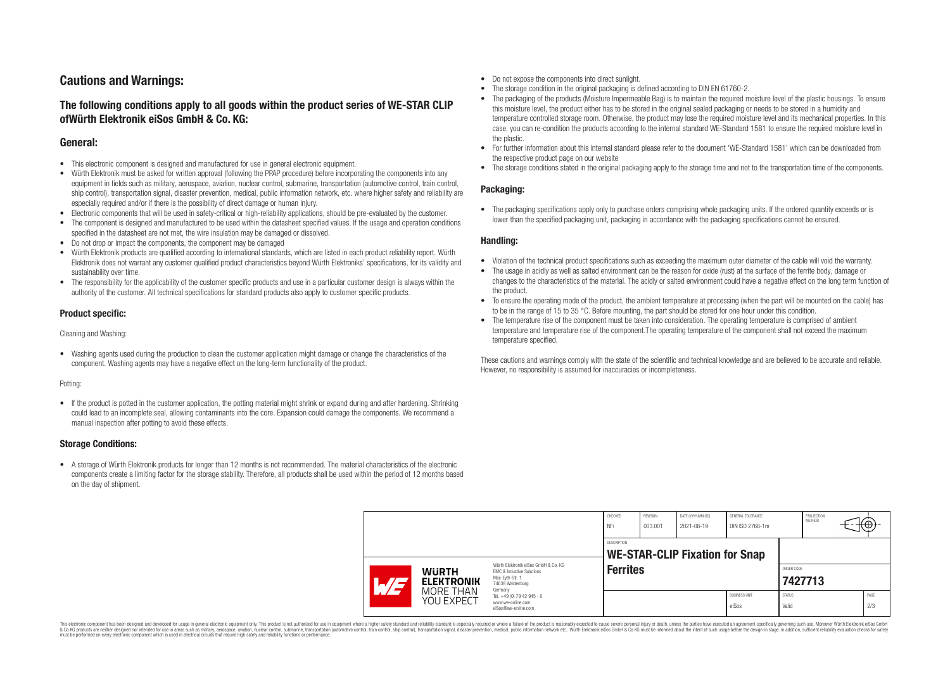# **Cautions and Warnings:**

# **The following conditions apply to all goods within the product series of WE-STAR CLIP ofWürth Elektronik eiSos GmbH & Co. KG:**

## **General:**

- This electronic component is designed and manufactured for use in general electronic equipment.
- Würth Elektronik must be asked for written approval (following the PPAP procedure) before incorporating the components into any equipment in fields such as military, aerospace, aviation, nuclear control, submarine, transportation (automotive control, train control, ship control), transportation signal, disaster prevention, medical, public information network, etc. where higher safety and reliability are especially required and/or if there is the possibility of direct damage or human injury.
- Electronic components that will be used in safety-critical or high-reliability applications, should be pre-evaluated by the customer.<br>• The component is designed and manufactured to be used within the datasheet specified
- The component is designed and manufactured to be used within the datasheet specified values. If the usage and operation conditions specified in the datasheet are not met, the wire insulation may be damaged or dissolved.
- Do not drop or impact the components, the component may be damaged
- Würth Elektronik products are qualified according to international standards, which are listed in each product reliability report. Würth Elektronik does not warrant any customer qualified product characteristics beyond Würth Elektroniks' specifications, for its validity and sustainability over time.
- The responsibility for the applicability of the customer specific products and use in a particular customer design is always within the authority of the customer. All technical specifications for standard products also apply to customer specific products.

### **Product specific:**

#### Cleaning and Washing:

• Washing agents used during the production to clean the customer application might damage or change the characteristics of the component. Washing agents may have a negative effect on the long-term functionality of the product.

#### Potting:

• If the product is potted in the customer application, the potting material might shrink or expand during and after hardening. Shrinking could lead to an incomplete seal, allowing contaminants into the core. Expansion could damage the components. We recommend a manual inspection after potting to avoid these effects.

### **Storage Conditions:**

• A storage of Würth Elektronik products for longer than 12 months is not recommended. The material characteristics of the electronic components create a limiting factor for the storage stability. Therefore, all products shall be used within the period of 12 months based on the day of shipment.

- Do not expose the components into direct sunlight.
- The storage condition in the original packaging is defined according to DIN EN 61760-2.
- The packaging of the products (Moisture Impermeable Bag) is to maintain the required moisture level of the plastic housings. To ensure this moisture level, the product either has to be stored in the original sealed packaging or needs to be stored in a humidity and temperature controlled storage room. Otherwise, the product may lose the required moisture level and its mechanical properties. In this case, you can re-condition the products according to the internal standard WE-Standard 1581 to ensure the required moisture level in the plastic.
- For further information about this internal standard please refer to the document 'WE-Standard 1581' which can be downloaded from the respective product page on our website
- The storage conditions stated in the original packaging apply to the storage time and not to the transportation time of the components.

### **Packaging:**

• The packaging specifications apply only to purchase orders comprising whole packaging units. If the ordered quantity exceeds or is lower than the specified packaging unit, packaging in accordance with the packaging specifications cannot be ensured.

### **Handling:**

- Violation of the technical product specifications such as exceeding the maximum outer diameter of the cable will void the warranty.
- The usage in acidly as well as salted environment can be the reason for oxide (rust) at the surface of the ferrite body, damage or changes to the characteristics of the material. The acidly or salted environment could have a negative effect on the long term function of the product.
- To ensure the operating mode of the product, the ambient temperature at processing (when the part will be mounted on the cable) has to be in the range of 15 to 35 °C. Before mounting, the part should be stored for one hour under this condition.
- The temperature rise of the component must be taken into consideration. The operating temperature is comprised of ambient temperature and temperature rise of the component.The operating temperature of the component shall not exceed the maximum temperature specified.

These cautions and warnings comply with the state of the scientific and technical knowledge and are believed to be accurate and reliable. However, no responsibility is assumed for inaccuracies or incompleteness.

|                                                              |                                                                                                                     | CHECKED<br>NFi                        | REVISION<br>003.001 | DATE (YYYY-MM-DD)<br>2021-08-19 | GENERAL TOLERANCE<br>DIN ISO 2768-1m |                        | PROJECTION<br><b>METHOD</b> |                       |  |  |
|--------------------------------------------------------------|---------------------------------------------------------------------------------------------------------------------|---------------------------------------|---------------------|---------------------------------|--------------------------------------|------------------------|-----------------------------|-----------------------|--|--|
|                                                              | DESCRIPTION                                                                                                         | <b>WE-STAR-CLIP Fixation for Snap</b> |                     |                                 |                                      |                        |                             |                       |  |  |
| <b>WURTH</b><br><b>ELEKTRONIK</b><br>$\sqrt{7}$<br>MORE THAN | Würth Flektronik eiSos GmbH & Co. KG<br>EMC & Inductive Solutions<br>Max-Evth-Str. 1<br>74638 Waldenburg<br>Germany |                                       | <b>Ferrites</b>     |                                 |                                      |                        |                             | ORDER CODE<br>7427713 |  |  |
| YOU EXPECT                                                   | Tel. +49 (0) 79 42 945 - 0<br>www.we-online.com<br>eiSos@we-online.com                                              |                                       |                     |                                 | <b>BUSINESS UNIT</b><br>eiSos        | <b>STATUS</b><br>Valid |                             | PAGE<br>2/3           |  |  |

This electronic component has been designed and developed for usage in general electronic equipment only. This product is not authorized for use in equipment where a higher safety standard and reliability standard is espec & Ook product a label and the membed of the seasuch as marked and as which such a membed and the such assume that income in the seasuch and the simulation and the such assume that include to the such a membed and the such